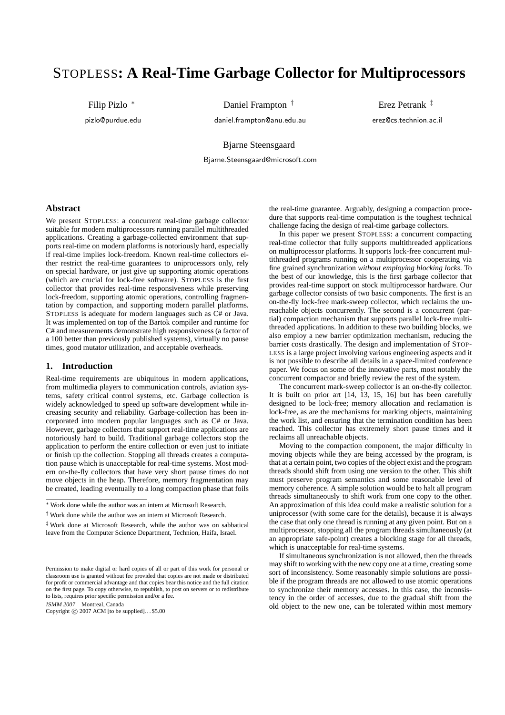# STOPLESS**: A Real-Time Garbage Collector for Multiprocessors**

Filip Pizlo <sup>∗</sup> pizlo@purdue.edu Daniel Frampton<sup>†</sup>

daniel.frampton@anu.edu.au

Erez Petrank ‡ erez@cs.technion.ac.il

Bjarne Steensgaard

Bjarne.Steensgaard@microsoft.com

# **Abstract**

We present STOPLESS: a concurrent real-time garbage collector suitable for modern multiprocessors running parallel multithreaded applications. Creating a garbage-collected environment that supports real-time on modern platforms is notoriously hard, especially if real-time implies lock-freedom. Known real-time collectors either restrict the real-time guarantees to uniprocessors only, rely on special hardware, or just give up supporting atomic operations (which are crucial for lock-free software). STOPLESS is the first collector that provides real-time responsiveness while preserving lock-freedom, supporting atomic operations, controlling fragmentation by compaction, and supporting modern parallel platforms. STOPLESS is adequate for modern languages such as C# or Java. It was implemented on top of the Bartok compiler and runtime for C# and measurements demonstrate high responsiveness (a factor of a 100 better than previously published systems), virtually no pause times, good mutator utilization, and acceptable overheads.

# **1. Introduction**

Real-time requirements are ubiquitous in modern applications, from multimedia players to communication controls, aviation systems, safety critical control systems, etc. Garbage collection is widely acknowledged to speed up software development while increasing security and reliability. Garbage-collection has been incorporated into modern popular languages such as C# or Java. However, garbage collectors that support real-time applications are notoriously hard to build. Traditional garbage collectors stop the application to perform the entire collection or even just to initiate or finish up the collection. Stopping all threads creates a computation pause which is unacceptable for real-time systems. Most modern on-the-fly collectors that have very short pause times do not move objects in the heap. Therefore, memory fragmentation may be created, leading eventually to a long compaction phase that foils

ISMM <sup>2007</sup> Montreal, Canada

Copyright  $\odot$  2007 ACM [to be supplied]...\$5.00

the real-time guarantee. Arguably, designing a compaction procedure that supports real-time computation is the toughest technical challenge facing the design of real-time garbage collectors.

In this paper we present STOPLESS: a concurrent compacting real-time collector that fully supports multithreaded applications on multiprocessor platforms. It supports lock-free concurrent multithreaded programs running on a multiprocessor cooperating via fine grained synchronization *without employing blocking locks*. To the best of our knowledge, this is the first garbage collector that provides real-time support on stock multiprocessor hardware. Our garbage collector consists of two basic components. The first is an on-the-fly lock-free mark-sweep collector, which reclaims the unreachable objects concurrently. The second is a concurrent (partial) compaction mechanism that supports parallel lock-free multithreaded applications. In addition to these two building blocks, we also employ a new barrier optimization mechanism, reducing the barrier costs drastically. The design and implementation of STOP-LESS is a large project involving various engineering aspects and it is not possible to describe all details in a space-limited conference paper. We focus on some of the innovative parts, most notably the concurrent compactor and briefly review the rest of the system.

The concurrent mark-sweep collector is an on-the-fly collector. It is built on prior art [14, 13, 15, 16] but has been carefully designed to be lock-free; memory allocation and reclamation is lock-free, as are the mechanisms for marking objects, maintaining the work list, and ensuring that the termination condition has been reached. This collector has extremely short pause times and it reclaims all unreachable objects.

Moving to the compaction component, the major difficulty in moving objects while they are being accessed by the program, is that at a certain point, two copies of the object exist and the program threads should shift from using one version to the other. This shift must preserve program semantics and some reasonable level of memory coherence. A simple solution would be to halt all program threads simultaneously to shift work from one copy to the other. An approximation of this idea could make a realistic solution for a uniprocessor (with some care for the details), because it is always the case that only one thread is running at any given point. But on a multiprocessor, stopping all the program threads simultaneously (at an appropriate safe-point) creates a blocking stage for all threads, which is unacceptable for real-time systems.

If simultaneous synchronization is not allowed, then the threads may shift to working with the new copy one at a time, creating some sort of inconsistency. Some reasonably simple solutions are possible if the program threads are not allowed to use atomic operations to synchronize their memory accesses. In this case, the inconsistency in the order of accesses, due to the gradual shift from the old object to the new one, can be tolerated within most memory

<sup>∗</sup> Work done while the author was an intern at Microsoft Research.

<sup>†</sup> Work done while the author was an intern at Microsoft Research.

<sup>‡</sup> Work done at Microsoft Research, while the author was on sabbatical leave from the Computer Science Department, Technion, Haifa, Israel.

Permission to make digital or hard copies of all or part of this work for personal or classroom use is granted without fee provided that copies are not made or distributed for profit or commercial advantage and that copies bear this notice and the full citation on the first page. To copy otherwise, to republish, to post on servers or to redistribute to lists, requires prior specific permission and/or a fee.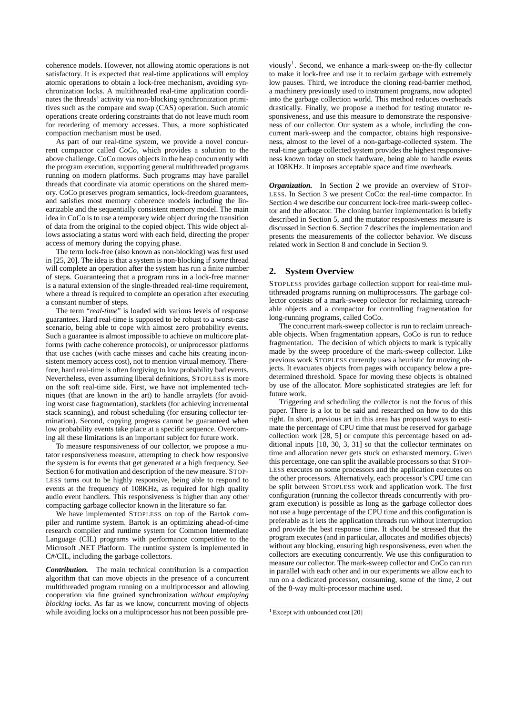coherence models. However, not allowing atomic operations is not satisfactory. It is expected that real-time applications will employ atomic operations to obtain a lock-free mechanism, avoiding synchronization locks. A multithreaded real-time application coordinates the threads' activity via non-blocking synchronization primitives such as the compare and swap (CAS) operation. Such atomic operations create ordering constraints that do not leave much room for reordering of memory accesses. Thus, a more sophisticated compaction mechanism must be used.

As part of our real-time system, we provide a novel concurrent compactor called *CoCo*, which provides a solution to the above challenge. CoCo moves objects in the heap concurrently with the program execution, supporting general multithreaded programs running on modern platforms. Such programs may have parallel threads that coordinate via atomic operations on the shared memory. CoCo preserves program semantics, lock-freedom guarantees, and satisfies most memory coherence models including the linearizable and the sequentially consistent memory model. The main idea in CoCo is to use a temporary wide object during the transition of data from the original to the copied object. This wide object allows associating a status word with each field, directing the proper access of memory during the copying phase.

The term lock-free (also known as non-blocking) was first used in [25, 20]. The idea is that a system is non-blocking if *some* thread will complete an operation after the system has run a finite number of steps. Guaranteeing that a program runs in a lock-free manner is a natural extension of the single-threaded real-time requirement, where a thread is required to complete an operation after executing a constant number of steps.

The term "*real-time*" is loaded with various levels of response guarantees. Hard real-time is supposed to be robust to a worst-case scenario, being able to cope with almost zero probability events. Such a guarantee is almost impossible to achieve on multicore platforms (with cache coherence protocols), or uniprocessor platforms that use caches (with cache misses and cache hits creating inconsistent memory access cost), not to mention virtual memory. Therefore, hard real-time is often forgiving to low probability bad events. Nevertheless, even assuming liberal definitions, STOPLESS is more on the soft real-time side. First, we have not implemented techniques (that are known in the art) to handle arraylets (for avoiding worst case fragmentation), stacklets (for achieving incremental stack scanning), and robust scheduling (for ensuring collector termination). Second, copying progress cannot be guaranteed when low probability events take place at a specific sequence. Overcoming all these limitations is an important subject for future work.

To measure responsiveness of our collector, we propose a mutator responsiveness measure, attempting to check how responsive the system is for events that get generated at a high frequency. See Section 6 for motivation and description of the new measure. STOP-LESS turns out to be highly responsive, being able to respond to events at the frequency of 108KHz, as required for high quality audio event handlers. This responsiveness is higher than any other compacting garbage collector known in the literature so far.

We have implemented STOPLESS on top of the Bartok compiler and runtime system. Bartok is an optimizing ahead-of-time research compiler and runtime system for Common Intermediate Language (CIL) programs with performance competitive to the Microsoft .NET Platform. The runtime system is implemented in C#/CIL, including the garbage collectors.

*Contribution.* The main technical contribution is a compaction algorithm that can move objects in the presence of a concurrent multithreaded program running on a multiprocessor and allowing cooperation via fine grained synchronization *without employing blocking locks*. As far as we know, concurrent moving of objects while avoiding locks on a multiprocessor has not been possible pre-

viously<sup>1</sup>. Second, we enhance a mark-sweep on-the-fly collector to make it lock-free and use it to reclaim garbage with extremely low pauses. Third, we introduce the cloning read-barrier method, a machinery previously used to instrument programs, now adopted into the garbage collection world. This method reduces overheads drastically. Finally, we propose a method for testing mutator responsiveness, and use this measure to demonstrate the responsiveness of our collector. Our system as a whole, including the concurrent mark-sweep and the compactor, obtains high responsiveness, almost to the level of a non-garbage-collected system. The real-time garbage collected system provides the highest responsiveness known today on stock hardware, being able to handle events at 108KHz. It imposes acceptable space and time overheads.

*Organization.* In Section 2 we provide an overview of STOP-LESS. In Section 3 we present CoCo: the real-time compactor. In Section 4 we describe our concurrent lock-free mark-sweep collector and the allocator. The cloning barrier implementation is briefly described in Section 5, and the mutator responsiveness measure is discussed in Section 6. Section 7 describes the implementation and presents the measurements of the collector behavior. We discuss related work in Section 8 and conclude in Section 9.

## **2. System Overview**

STOPLESS provides garbage collection support for real-time multithreaded programs running on multiprocessors. The garbage collector consists of a mark-sweep collector for reclaiming unreachable objects and a compactor for controlling fragmentation for long-running programs, called CoCo.

The concurrent mark-sweep collector is run to reclaim unreachable objects. When fragmentation appears, CoCo is run to reduce fragmentation. The decision of which objects to mark is typically made by the sweep procedure of the mark-sweep collector. Like previous work STOPLESS currently uses a heuristic for moving objects. It evacuates objects from pages with occupancy below a predetermined threshold. Space for moving these objects is obtained by use of the allocator. More sophisticated strategies are left for future work.

Triggering and scheduling the collector is not the focus of this paper. There is a lot to be said and researched on how to do this right. In short, previous art in this area has proposed ways to estimate the percentage of CPU time that must be reserved for garbage collection work [28, 5] or compute this percentage based on additional inputs [18, 30, 3, 31] so that the collector terminates on time and allocation never gets stuck on exhausted memory. Given this percentage, one can split the available processors so that STOP-LESS executes on some processors and the application executes on the other processors. Alternatively, each processor's CPU time can be split between STOPLESS work and application work. The first configuration (running the collector threads concurrently with program execution) is possible as long as the garbage collector does not use a huge percentage of the CPU time and this configuration is preferable as it lets the application threads run without interruption and provide the best response time. It should be stressed that the program executes (and in particular, allocates and modifies objects) without any blocking, ensuring high responsiveness, even when the collectors are executing concurrently. We use this configuration to measure our collector. The mark-sweep collector and CoCo can run in parallel with each other and in our experiments we allow each to run on a dedicated processor, consuming, some of the time, 2 out of the 8-way multi-processor machine used.

 $1$  Except with unbounded cost [20]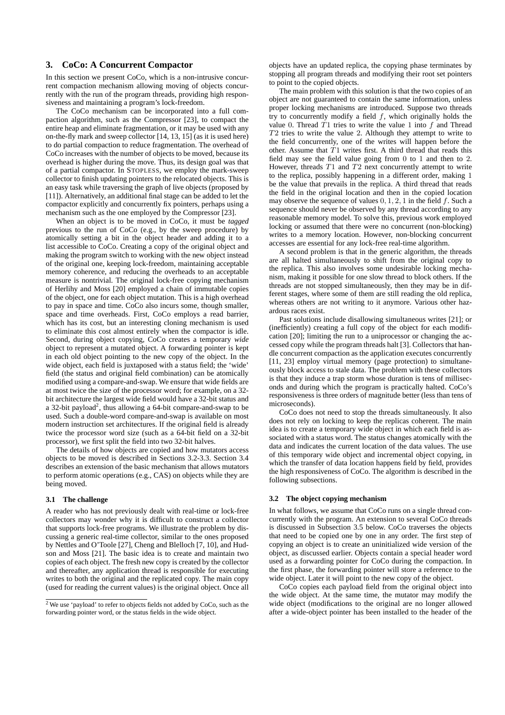# **3. CoCo: A Concurrent Compactor**

In this section we present CoCo, which is a non-intrusive concurrent compaction mechanism allowing moving of objects concurrently with the run of the program threads, providing high responsiveness and maintaining a program's lock-freedom.

The CoCo mechanism can be incorporated into a full compaction algorithm, such as the Compressor [23], to compact the entire heap and eliminate fragmentation, or it may be used with any on-the-fly mark and sweep collector [14, 13, 15] (as it is used here) to do partial compaction to reduce fragmentation. The overhead of CoCo increases with the number of objects to be moved, because its overhead is higher during the move. Thus, its design goal was that of a partial compactor. In STOPLESS, we employ the mark-sweep collector to finish updating pointers to the relocated objects. This is an easy task while traversing the graph of live objects (proposed by [11]). Alternatively, an additional final stage can be added to let the compactor explicitly and concurrently fix pointers, perhaps using a mechanism such as the one employed by the Compressor [23].

When an object is to be moved in CoCo, it must be *tagged* previous to the run of CoCo (e.g., by the sweep procedure) by atomically setting a bit in the object header and adding it to a list accessible to CoCo. Creating a copy of the original object and making the program switch to working with the new object instead of the original one, keeping lock-freedom, maintaining acceptable memory coherence, and reducing the overheads to an acceptable measure is nontrivial. The original lock-free copying mechanism of Herlihy and Moss [20] employed a chain of immutable copies of the object, one for each object mutation. This is a high overhead to pay in space and time. CoCo also incurs some, though smaller, space and time overheads. First, CoCo employs a read barrier, which has its cost, but an interesting cloning mechanism is used to eliminate this cost almost entirely when the compactor is idle. Second, during object copying, CoCo creates a temporary *wide* object to represent a mutated object. A forwarding pointer is kept in each old object pointing to the new copy of the object. In the wide object, each field is juxtaposed with a status field; the 'wide' field (the status and original field combination) can be atomically modified using a compare-and-swap. We ensure that wide fields are at most twice the size of the processor word; for example, on a 32 bit architecture the largest wide field would have a 32-bit status and a 32-bit payload<sup>2</sup>, thus allowing a 64-bit compare-and-swap to be used. Such a double-word compare-and-swap is available on most modern instruction set architectures. If the original field is already twice the processor word size (such as a 64-bit field on a 32-bit processor), we first split the field into two 32-bit halves.

The details of how objects are copied and how mutators access objects to be moved is described in Sections 3.2-3.3. Section 3.4 describes an extension of the basic mechanism that allows mutators to perform atomic operations (e.g., CAS) on objects while they are being moved.

#### **3.1 The challenge**

A reader who has not previously dealt with real-time or lock-free collectors may wonder why it is difficult to construct a collector that supports lock-free programs. We illustrate the problem by discussing a generic real-time collector, similar to the ones proposed by Nettles and O'Toole [27], Cheng and Blelloch [7, 10], and Hudson and Moss [21]. The basic idea is to create and maintain two copies of each object. The fresh new copy is created by the collector and thereafter, any application thread is responsible for executing writes to both the original and the replicated copy. The main copy (used for reading the current values) is the original object. Once all objects have an updated replica, the copying phase terminates by stopping all program threads and modifying their root set pointers to point to the copied objects.

The main problem with this solution is that the two copies of an object are not guaranteed to contain the same information, unless proper locking mechanisms are introduced. Suppose two threads try to concurrently modify a field  $f$ , which originally holds the value 0. Thread  $T1$  tries to write the value 1 into  $f$  and Thread T2 tries to write the value 2. Although they attempt to write to the field concurrently, one of the writes will happen before the other. Assume that  $T1$  writes first. A third thread that reads this field may see the field value going from 0 to 1 and then to 2. However, threads  $T1$  and  $T2$  next concurrently attempt to write to the replica, possibly happening in a different order, making 1 be the value that prevails in the replica. A third thread that reads the field in the original location and then in the copied location may observe the sequence of values  $0, 1, 2, 1$  in the field f. Such a sequence should never be observed by any thread according to any reasonable memory model. To solve this, previous work employed locking or assumed that there were no concurrent (non-blocking) writes to a memory location. However, non-blocking concurrent accesses are essential for any lock-free real-time algorithm.

A second problem is that in the generic algorithm, the threads are all halted simultaneously to shift from the original copy to the replica. This also involves some undesirable locking mechanism, making it possible for one slow thread to block others. If the threads are not stopped simultaneously, then they may be in different stages, where some of them are still reading the old replica, whereas others are not writing to it anymore. Various other hazardous races exist.

Past solutions include disallowing simultaneous writes [21]; or (inefficiently) creating a full copy of the object for each modification [20]; limiting the run to a uniprocessor or changing the accessed copy while the program threads halt [3]. Collectors that handle concurrent compaction as the application executes concurrently [11, 23] employ virtual memory (page protection) to simultaneously block access to stale data. The problem with these collectors is that they induce a trap storm whose duration is tens of milliseconds and during which the program is practically halted. CoCo's responsiveness is three orders of magnitude better (less than tens of microseconds).

CoCo does not need to stop the threads simultaneously. It also does not rely on locking to keep the replicas coherent. The main idea is to create a temporary wide object in which each field is associated with a status word. The status changes atomically with the data and indicates the current location of the data values. The use of this temporary wide object and incremental object copying, in which the transfer of data location happens field by field, provides the high responsiveness of CoCo. The algorithm is described in the following subsections.

#### **3.2 The object copying mechanism**

In what follows, we assume that CoCo runs on a single thread concurrently with the program. An extension to several CoCo threads is discussed in Subsection 3.5 below. CoCo traverses the objects that need to be copied one by one in any order. The first step of copying an object is to create an uninitialized wide version of the object, as discussed earlier. Objects contain a special header word used as a forwarding pointer for CoCo during the compaction. In the first phase, the forwarding pointer will store a reference to the wide object. Later it will point to the new copy of the object.

CoCo copies each payload field from the original object into the wide object. At the same time, the mutator may modify the wide object (modifications to the original are no longer allowed after a wide-object pointer has been installed to the header of the

<sup>&</sup>lt;sup>2</sup> We use 'payload' to refer to objects fields not added by CoCo, such as the forwarding pointer word, or the status fields in the wide object.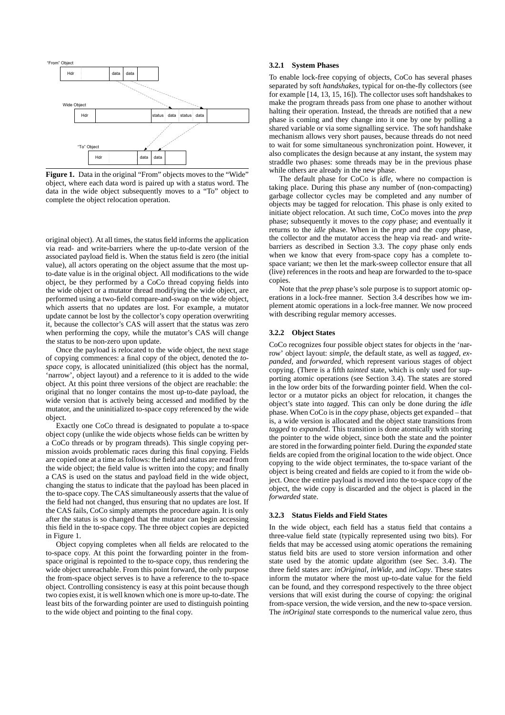

Figure 1. Data in the original "From" objects moves to the "Wide" object, where each data word is paired up with a status word. The data in the wide object subsequently moves to a "To" object to complete the object relocation operation.

original object). At all times, the status field informs the application via read- and write-barriers where the up-to-date version of the associated payload field is. When the status field is zero (the initial value), all actors operating on the object assume that the most upto-date value is in the original object. All modifications to the wide object, be they performed by a CoCo thread copying fields into the wide object or a mutator thread modifying the wide object, are performed using a two-field compare-and-swap on the wide object, which asserts that no updates are lost. For example, a mutator update cannot be lost by the collector's copy operation overwriting it, because the collector's CAS will assert that the status was zero when performing the copy, while the mutator's CAS will change the status to be non-zero upon update.

Once the payload is relocated to the wide object, the next stage of copying commences: a final copy of the object, denoted the *tospace* copy, is allocated uninitialized (this object has the normal, 'narrow', object layout) and a reference to it is added to the wide object. At this point three versions of the object are reachable: the original that no longer contains the most up-to-date payload, the wide version that is actively being accessed and modified by the mutator, and the uninitialized to-space copy referenced by the wide object.

Exactly one CoCo thread is designated to populate a to-space object copy (unlike the wide objects whose fields can be written by a CoCo threads or by program threads). This single copying permission avoids problematic races during this final copying. Fields are copied one at a time as follows: the field and status are read from the wide object; the field value is written into the copy; and finally a CAS is used on the status and payload field in the wide object, changing the status to indicate that the payload has been placed in the to-space copy. The CAS simultaneously asserts that the value of the field had not changed, thus ensuring that no updates are lost. If the CAS fails, CoCo simply attempts the procedure again. It is only after the status is so changed that the mutator can begin accessing this field in the to-space copy. The three object copies are depicted in Figure 1.

Object copying completes when all fields are relocated to the to-space copy. At this point the forwarding pointer in the fromspace original is repointed to the to-space copy, thus rendering the wide object unreachable. From this point forward, the only purpose the from-space object serves is to have a reference to the to-space object. Controlling consistency is easy at this point because though two copies exist, it is well known which one is more up-to-date. The least bits of the forwarding pointer are used to distinguish pointing to the wide object and pointing to the final copy.

## **3.2.1 System Phases**

To enable lock-free copying of objects, CoCo has several phases separated by soft *handshakes*, typical for on-the-fly collectors (see for example [14, 13, 15, 16]). The collector uses soft handshakes to make the program threads pass from one phase to another without halting their operation. Instead, the threads are notified that a new phase is coming and they change into it one by one by polling a shared variable or via some signalling service. The soft handshake mechanism allows very short pauses, because threads do not need to wait for some simultaneous synchronization point. However, it also complicates the design because at any instant, the system may straddle two phases: some threads may be in the previous phase while others are already in the new phase.

The default phase for CoCo is *idle*, where no compaction is taking place. During this phase any number of (non-compacting) garbage collector cycles may be completed and any number of objects may be tagged for relocation. This phase is only exited to initiate object relocation. At such time, CoCo moves into the *prep* phase; subsequently it moves to the *copy* phase; and eventually it returns to the *idle* phase. When in the *prep* and the *copy* phase, the collector and the mutator access the heap via read- and writebarriers as described in Section 3.3. The *copy* phase only ends when we know that every from-space copy has a complete tospace variant; we then let the mark-sweep collector ensure that all (live) references in the roots and heap are forwarded to the to-space copies.

Note that the *prep* phase's sole purpose is to support atomic operations in a lock-free manner. Section 3.4 describes how we implement atomic operations in a lock-free manner. We now proceed with describing regular memory accesses.

#### **3.2.2 Object States**

CoCo recognizes four possible object states for objects in the 'narrow' object layout: *simple*, the default state, as well as *tagged*, *expanded*, and *forwarded*, which represent various stages of object copying. (There is a fifth *tainted* state, which is only used for supporting atomic operations (see Section 3.4). The states are stored in the low order bits of the forwarding pointer field. When the collector or a mutator picks an object for relocation, it changes the object's state into *tagged*. This can only be done during the *idle* phase. When CoCo is in the *copy* phase, objects get expanded – that is, a wide version is allocated and the object state transitions from *tagged* to *expanded*. This transition is done atomically with storing the pointer to the wide object, since both the state and the pointer are stored in the forwarding pointer field. During the *expanded* state fields are copied from the original location to the wide object. Once copying to the wide object terminates, the to-space variant of the object is being created and fields are copied to it from the wide object. Once the entire payload is moved into the to-space copy of the object, the wide copy is discarded and the object is placed in the *forwarded* state.

#### **3.2.3 Status Fields and Field States**

In the wide object, each field has a status field that contains a three-value field state (typically represented using two bits). For fields that may be accessed using atomic operations the remaining status field bits are used to store version information and other state used by the atomic update algorithm (see Sec. 3.4). The three field states are: *inOriginal*, *inWide*, and *inCopy*. These states inform the mutator where the most up-to-date value for the field can be found, and they correspond respectively to the three object versions that will exist during the course of copying: the original from-space version, the wide version, and the new to-space version. The *inOriginal* state corresponds to the numerical value zero, thus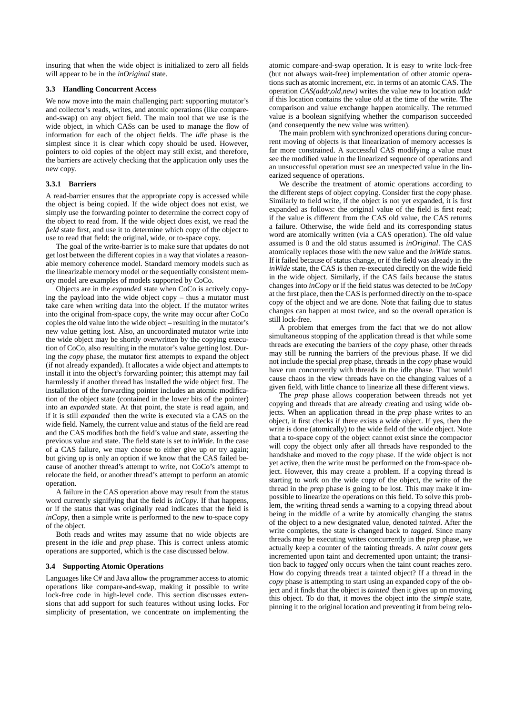insuring that when the wide object is initialized to zero all fields will appear to be in the *inOriginal* state.

## **3.3 Handling Concurrent Access**

We now move into the main challenging part: supporting mutator's and collector's reads, writes, and atomic operations (like compareand-swap) on any object field. The main tool that we use is the wide object, in which CASs can be used to manage the flow of information for each of the object fields. The *idle* phase is the simplest since it is clear which copy should be used. However, pointers to old copies of the object may still exist, and therefore, the barriers are actively checking that the application only uses the new copy.

## **3.3.1 Barriers**

A read-barrier ensures that the appropriate copy is accessed while the object is being copied. If the wide object does not exist, we simply use the forwarding pointer to determine the correct copy of the object to read from. If the wide object does exist, we read the *field* state first, and use it to determine which copy of the object to use to read that field: the original, wide, or to-space copy.

The goal of the write-barrier is to make sure that updates do not get lost between the different copies in a way that violates a reasonable memory coherence model. Standard memory models such as the linearizable memory model or the sequentially consistent memory model are examples of models supported by CoCo.

Objects are in the *expanded* state when CoCo is actively copying the payload into the wide object copy – thus a mutator must take care when writing data into the object. If the mutator writes into the original from-space copy, the write may occur after CoCo copies the old value into the wide object – resulting in the mutator's new value getting lost. Also, an uncoordinated mutator write into the wide object may be shortly overwritten by the copying execution of CoCo, also resulting in the mutator's value getting lost. During the *copy* phase, the mutator first attempts to expand the object (if not already expanded). It allocates a wide object and attempts to install it into the object's forwarding pointer; this attempt may fail harmlessly if another thread has installed the wide object first. The installation of the forwarding pointer includes an atomic modification of the object state (contained in the lower bits of the pointer) into an *expanded* state. At that point, the state is read again, and if it is still *expanded* then the write is executed via a CAS on the wide field. Namely, the current value and status of the field are read and the CAS modifies both the field's value and state, asserting the previous value and state. The field state is set to *inWide*. In the case of a CAS failure, we may choose to either give up or try again; but giving up is only an option if we know that the CAS failed because of another thread's attempt to write, not CoCo's attempt to relocate the field, or another thread's attempt to perform an atomic operation.

A failure in the CAS operation above may result from the status word currently signifying that the field is *inCopy*. If that happens, or if the status that was originally read indicates that the field is *inCopy*, then a simple write is performed to the new to-space copy of the object.

Both reads and writes may assume that no wide objects are present in the *idle* and *prep* phase. This is correct unless atomic operations are supported, which is the case discussed below.

## **3.4 Supporting Atomic Operations**

Languages like C# and Java allow the programmer access to atomic operations like compare-and-swap, making it possible to write lock-free code in high-level code. This section discusses extensions that add support for such features without using locks. For simplicity of presentation, we concentrate on implementing the

atomic compare-and-swap operation. It is easy to write lock-free (but not always wait-free) implementation of other atomic operations such as atomic increment, etc. in terms of an atomic CAS. The operation *CAS(addr,old,new)* writes the value *new* to location *addr* if this location contains the value *old* at the time of the write. The comparison and value exchange happen atomically. The returned value is a boolean signifying whether the comparison succeeded (and consequently the new value was written).

The main problem with synchronized operations during concurrent moving of objects is that linearization of memory accesses is far more constrained. A successful CAS modifying a value must see the modified value in the linearized sequence of operations and an unsuccessful operation must see an unexpected value in the linearized sequence of operations.

We describe the treatment of atomic operations according to the different steps of object copying. Consider first the *copy* phase. Similarly to field write, if the object is not yet expanded, it is first expanded as follows: the original value of the field is first read; if the value is different from the CAS old value, the CAS returns a failure. Otherwise, the wide field and its corresponding status word are atomically written (via a CAS operation). The old value assumed is 0 and the old status assumed is *inOriginal*. The CAS atomically replaces those with the new value and the *inWide* status. If it failed because of status change, or if the field was already in the *inWide* state, the CAS is then re-executed directly on the wide field in the wide object. Similarly, if the CAS fails because the status changes into *inCopy* or if the field status was detected to be *inCopy* at the first place, then the CAS is performed directly on the to-space copy of the object and we are done. Note that failing due to status changes can happen at most twice, and so the overall operation is still lock-free.

A problem that emerges from the fact that we do not allow simultaneous stopping of the application thread is that while some threads are executing the barriers of the *copy* phase, other threads may still be running the barriers of the previous phase. If we did not include the special *prep* phase, threads in the *copy* phase would have run concurrently with threads in the idle phase. That would cause chaos in the view threads have on the changing values of a given field, with little chance to linearize all these different views.

The *prep* phase allows cooperation between threads not yet copying and threads that are already creating and using wide objects. When an application thread in the *prep* phase writes to an object, it first checks if there exists a wide object. If yes, then the write is done (atomically) to the wide field of the wide object. Note that a to-space copy of the object cannot exist since the compactor will copy the object only after all threads have responded to the handshake and moved to the *copy* phase. If the wide object is not yet active, then the write must be performed on the from-space object. However, this may create a problem. If a copying thread is starting to work on the wide copy of the object, the write of the thread in the *prep* phase is going to be lost. This may make it impossible to linearize the operations on this field. To solve this problem, the writing thread sends a warning to a copying thread about being in the middle of a write by atomically changing the status of the object to a new designated value, denoted *tainted*. After the write completes, the state is changed back to *tagged*. Since many threads may be executing writes concurrently in the *prep* phase, we actually keep a counter of the tainting threads. A *taint count* gets incremented upon taint and decremented upon untaint; the transition back to *tagged* only occurs when the taint count reaches zero. How do copying threads treat a tainted object? If a thread in the *copy* phase is attempting to start using an expanded copy of the object and it finds that the object is *tainted* then it gives up on moving this object. To do that, it moves the object into the *simple* state, pinning it to the original location and preventing it from being relo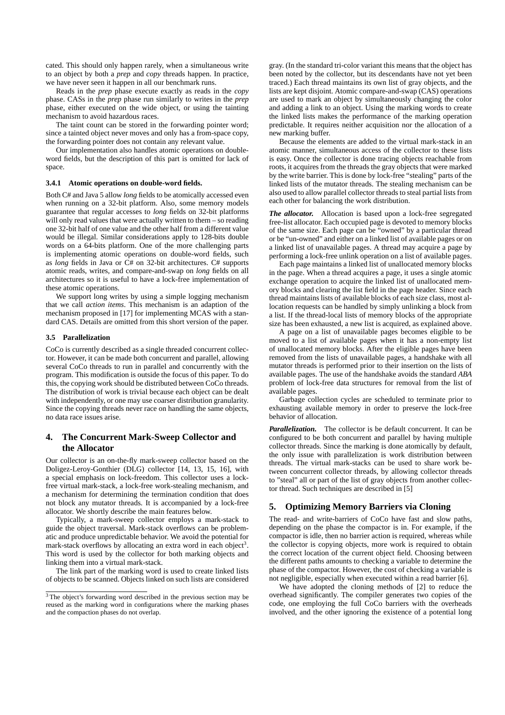cated. This should only happen rarely, when a simultaneous write to an object by both a *prep* and *copy* threads happen. In practice, we have never seen it happen in all our benchmark runs.

Reads in the *prep* phase execute exactly as reads in the *copy* phase. CASs in the *prep* phase run similarly to writes in the *prep* phase, either executed on the wide object, or using the tainting mechanism to avoid hazardous races.

The taint count can be stored in the forwarding pointer word; since a tainted object never moves and only has a from-space copy, the forwarding pointer does not contain any relevant value.

Our implementation also handles atomic operations on doubleword fields, but the description of this part is omitted for lack of space.

#### **3.4.1 Atomic operations on double-word fields.**

Both C# and Java 5 allow *long* fields to be atomically accessed even when running on a 32-bit platform. Also, some memory models guarantee that regular accesses to *long* fields on 32-bit platforms will only read values that were actually written to them – so reading one 32-bit half of one value and the other half from a different value would be illegal. Similar considerations apply to 128-bits double words on a 64-bits platform. One of the more challenging parts is implementing atomic operations on double-word fields, such as *long* fields in Java or C# on 32-bit architectures. C# supports atomic reads, writes, and compare-and-swap on *long* fields on all architectures so it is useful to have a lock-free implementation of these atomic operations.

We support long writes by using a simple logging mechanism that we call *action items*. This mechanism is an adaption of the mechanism proposed in [17] for implementing MCAS with a standard CAS. Details are omitted from this short version of the paper.

#### **3.5 Parallelization**

CoCo is currently described as a single threaded concurrent collector. However, it can be made both concurrent and parallel, allowing several CoCo threads to run in parallel and concurrently with the program. This modification is outside the focus of this paper. To do this, the copying work should be distributed between CoCo threads. The distribution of work is trivial because each object can be dealt with independently, or one may use coarser distribution granularity. Since the copying threads never race on handling the same objects, no data race issues arise.

# **4. The Concurrent Mark-Sweep Collector and the Allocator**

Our collector is an on-the-fly mark-sweep collector based on the Doligez-Leroy-Gonthier (DLG) collector [14, 13, 15, 16], with a special emphasis on lock-freedom. This collector uses a lockfree virtual mark-stack, a lock-free work-stealing mechanism, and a mechanism for determining the termination condition that does not block any mutator threads. It is accompanied by a lock-free allocator. We shortly describe the main features below.

Typically, a mark-sweep collector employs a mark-stack to guide the object traversal. Mark-stack overflows can be problematic and produce unpredictable behavior. We avoid the potential for mark-stack overflows by allocating an extra word in each object<sup>3</sup>. This word is used by the collector for both marking objects and linking them into a virtual mark-stack.

The link part of the marking word is used to create linked lists of objects to be scanned. Objects linked on such lists are considered gray. (In the standard tri-color variant this means that the object has been noted by the collector, but its descendants have not yet been traced.) Each thread maintains its own list of gray objects, and the lists are kept disjoint. Atomic compare-and-swap (CAS) operations are used to mark an object by simultaneously changing the color and adding a link to an object. Using the marking words to create the linked lists makes the performance of the marking operation predictable. It requires neither acquisition nor the allocation of a new marking buffer.

Because the elements are added to the virtual mark-stack in an atomic manner, simultaneous access of the collector to these lists is easy. Once the collector is done tracing objects reachable from roots, it acquires from the threads the gray objects that were marked by the write barrier. This is done by lock-free "stealing" parts of the linked lists of the mutator threads. The stealing mechanism can be also used to allow parallel collector threads to steal partial lists from each other for balancing the work distribution.

*The allocator.* Allocation is based upon a lock-free segregated free-list allocator. Each occupied page is devoted to memory blocks of the same size. Each page can be "owned" by a particular thread or be "un-owned" and either on a linked list of available pages or on a linked list of unavailable pages. A thread may acquire a page by performing a lock-free unlink operation on a list of available pages.

Each page maintains a linked list of unallocated memory blocks in the page. When a thread acquires a page, it uses a single atomic exchange operation to acquire the linked list of unallocated memory blocks and clearing the list field in the page header. Since each thread maintains lists of available blocks of each size class, most allocation requests can be handled by simply unlinking a block from a list. If the thread-local lists of memory blocks of the appropriate size has been exhausted, a new list is acquired, as explained above.

A page on a list of unavailable pages becomes eligible to be moved to a list of available pages when it has a non-empty list of unallocated memory blocks. After the eligible pages have been removed from the lists of unavailable pages, a handshake with all mutator threads is performed prior to their insertion on the lists of available pages. The use of the handshake avoids the standard *ABA* problem of lock-free data structures for removal from the list of available pages.

Garbage collection cycles are scheduled to terminate prior to exhausting available memory in order to preserve the lock-free behavior of allocation.

*Parallelization.* The collector is be default concurrent. It can be configured to be both concurrent and parallel by having multiple collector threads. Since the marking is done atomically by default, the only issue with parallelization is work distribution between threads. The virtual mark-stacks can be used to share work between concurrent collector threads, by allowing collector threads to "steal" all or part of the list of gray objects from another collector thread. Such techniques are described in [5]

# **5. Optimizing Memory Barriers via Cloning**

The read- and write-barriers of CoCo have fast and slow paths, depending on the phase the compactor is in. For example, if the compactor is idle, then no barrier action is required, whereas while the collector is copying objects, more work is required to obtain the correct location of the current object field. Choosing between the different paths amounts to checking a variable to determine the phase of the compactor. However, the cost of checking a variable is not negligible, especially when executed within a read barrier [6].

We have adopted the cloning methods of [2] to reduce the overhead significantly. The compiler generates two copies of the code, one employing the full CoCo barriers with the overheads involved, and the other ignoring the existence of a potential long

<sup>&</sup>lt;sup>3</sup> The object's forwarding word described in the previous section may be reused as the marking word in configurations where the marking phases and the compaction phases do not overlap.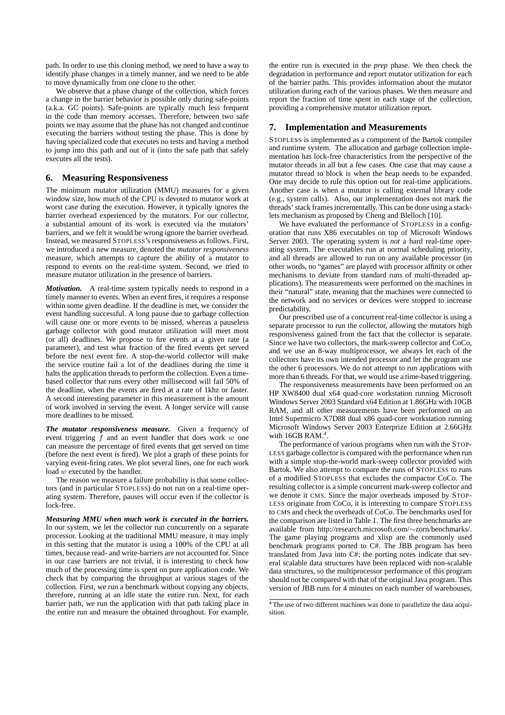path. In order to use this cloning method, we need to have a way to identify phase changes in a timely manner, and we need to be able to move dynamically from one clone to the other.

We observe that a phase change of the collection, which forces a change in the barrier behavior is possible only during safe-points (a.k.a. GC points). Safe-points are typically much less frequent in the code than memory accesses. Therefore, between two safe points we may assume that the phase has not changed and continue executing the barriers without testing the phase. This is done by having specialized code that executes no tests and having a method to jump into this path and out of it (into the safe path that safely executes all the tests).

# **6. Measuring Responsiveness**

The minimum mutator utilization (MMU) measures for a given window size, how much of the CPU is devoted to mutator work at worst case during the execution. However, it typically ignores the barrier overhead experienced by the mutators. For our collector, a substantial amount of its work is executed via the mutators' barriers, and we felt it would be wrong ignore the barrier overhead. Instead, we measured STOPLESS's responsiveness as follows. First, we introduced a new measure, denoted the *mutator responsiveness* measure, which attempts to capture the ability of a mutator to respond to events on the real-time system. Second, we tried to measure mutator utilization in the presence of barriers.

*Motivation.* A real-time system typically needs to respond in a timely manner to events. When an event fires, it requires a response within some given deadline. If the deadline is met, we consider the event handling successful. A long pause due to garbage collection will cause one or more events to be missed, whereas a pauseless garbage collector with good mutator utilization will meet most (or all) deadlines. We propose to fire events at a given rate (a parameter), and test what fraction of the fired events get served before the next event fire. A stop-the-world collector will make the service routine fail a lot of the deadlines during the time it halts the application threads to perform the collection. Even a timebased collector that runs every other millisecond will fail 50% of the deadline, when the events are fired at a rate of 1khz or faster. A second interesting parameter in this measurement is the amount of work involved in serving the event. A longer service will cause more deadlines to be missed.

*The mutator responsiveness measure.* Given a frequency of event triggering  $f$  and an event handler that does work  $w$  one can measure the percentage of fired events that get served on time (before the next event is fired). We plot a graph of these points for varying event-firing rates. We plot several lines, one for each work load w executed by the handler.

The reason we measure a failure probability is that some collectors (and in particular STOPLESS) do not run on a real-time operating system. Therefore, pauses will occur even if the collector is lock-free.

*Measuring MMU when much work is executed in the barriers.* In our system, we let the collector run concurrently on a separate processor. Looking at the traditional MMU measure, it may imply in this setting that the mutator is using a 100% of the CPU at all times, because read- and write-barriers are not accounted for. Since in our case barriers are not trivial, it is interesting to check how much of the processing time is spent on pure application code. We check that by comparing the throughput at various stages of the collection. First, we run a benchmark without copying any objects, therefore, running at an idle state the entire run. Next, for each barrier path, we run the application with that path taking place in the entire run and measure the obtained throughout. For example, the entire run is executed in the *prep* phase. We then check the degradation in performance and report mutator utilization for each of the barrier paths. This provides information about the mutator utilization during each of the various phases. We then measure and report the fraction of time spent in each stage of the collection, providing a comprehensive mutator utilization report.

# **7. Implementation and Measurements**

STOPLESS is implemented as a component of the Bartok compiler and runtime system. The allocation and garbage collection implementation has lock-free characteristics from the perspective of the mutator threads in all but a few cases. One case that may cause a mutator thread to block is when the heap needs to be expanded. One may decide to rule this option out for real-time applications. Another case is when a mutator is calling external library code (e.g., system calls). Also, our implementation does not mark the threads' stack frames incrementally. This can be done using a stacklets mechanism as proposed by Cheng and Blelloch [10].

We have evaluated the performance of STOPLESS in a configuration that runs X86 executables on top of Microsoft Windows Server 2003. The operating system is *not* a hard real-time operating system. The executables run at normal scheduling priority, and all threads are allowed to run on any available processor (in other words, no "games" are played with processor affinity or other mechanisms to deviate from standard runs of multi-threaded applications). The measurements were performed on the machines in their "natural" state, meaning that the machines were connected to the network and no services or devices were stopped to increase predictability.

Our prescribed use of a concurrent real-time collector is using a separate processor to run the collector, allowing the mutators high responsiveness gained from the fact that the collector is separate. Since we have two collectors, the mark-sweep collector and CoCo, and we use an 8-way multiprocessor, we always let each of the collectors have its own intended processor and let the program use the other 6 processors. We do not attempt to run applications with more than 6 threads. For that, we would use a time-based triggering.

The responsiveness measurements have been performed on an HP XW8400 dual x64 quad-core workstation running Microsoft Windows Server 2003 Standard x64 Edition at 1.86GHz with 10GB RAM, and all other measurements have been performed on an Intel Supermicro X7D88 dual x86 quad-core workstation running Microsoft Windows Server 2003 Enterprize Edition at 2.66GHz with  $16GB$  RAM.<sup>4</sup>.

The performance of various programs when run with the STOP-LESS garbage collector is compared with the performance when run with a simple stop-the-world mark-sweep collector provided with Bartok. We also attempt to compare the runs of STOPLESS to runs of a modified STOPLESS that excludes the compactor CoCo. The resulting collector is a simple concurrent mark-sweep collector and we denote it CMS. Since the major overheads imposed by STOP-LESS originate from CoCo, it is interesting to compare STOPLESS to CMS and check the overheads of CoCo. The benchmarks used for the comparison are listed in Table 1. The first three benchmarks are available from http://research.microsoft.com/∼zorn/benchmarks/. The game playing programs and xlisp are the commonly used benchmark programs ported to C#. The JBB program has been translated from Java into C#; the porting notes indicate that several scalable data structures have been replaced with non-scalable data structures, so the multiprocessor performance of this program should not be compared with that of the original Java program. This version of JBB runs for 4 minutes on each number of warehouses,

<sup>&</sup>lt;sup>4</sup>The use of two different machines was done to parallelize the data acquisition.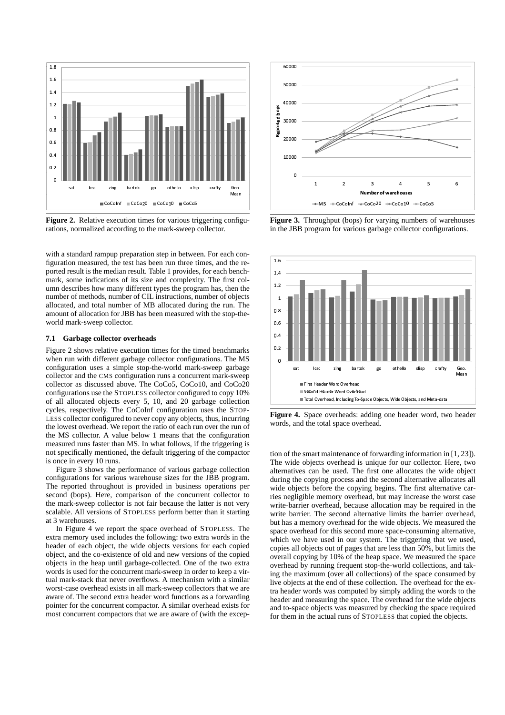

Figure 2. Relative execution times for various triggering configurations, normalized according to the mark-sweep collector.

with a standard rampup preparation step in between. For each configuration measured, the test has been run three times, and the reported result is the median result. Table 1 provides, for each benchmark, some indications of its size and complexity. The first column describes how many different types the program has, then the number of methods, number of CIL instructions, number of objects allocated, and total number of MB allocated during the run. The amount of allocation for JBB has been measured with the stop-theworld mark-sweep collector.

## **7.1 Garbage collector overheads**

Figure 2 shows relative execution times for the timed benchmarks when run with different garbage collector configurations. The MS configuration uses a simple stop-the-world mark-sweep garbage collector and the CMS configuration runs a concurrent mark-sweep collector as discussed above. The CoCo5, CoCo10, and CoCo20 configurations use the STOPLESS collector configured to copy 10% of all allocated objects every 5, 10, and 20 garbage collection cycles, respectively. The CoCoInf configuration uses the STOP-LESS collector configured to never copy any objects, thus, incurring the lowest overhead. We report the ratio of each run over the run of the MS collector. A value below 1 means that the configuration measured runs faster than MS. In what follows, if the triggering is not specifically mentioned, the default triggering of the compactor is once in every 10 runs.

Figure 3 shows the performance of various garbage collection configurations for various warehouse sizes for the JBB program. The reported throughout is provided in business operations per second (bops). Here, comparison of the concurrent collector to the mark-sweep collector is not fair because the latter is not very scalable. All versions of STOPLESS perform better than it starting at 3 warehouses.

In Figure 4 we report the space overhead of STOPLESS. The extra memory used includes the following: two extra words in the header of each object, the wide objects versions for each copied object, and the co-existence of old and new versions of the copied objects in the heap until garbage-collected. One of the two extra words is used for the concurrent mark-sweep in order to keep a virtual mark-stack that never overflows. A mechanism with a similar worst-case overhead exists in all mark-sweep collectors that we are aware of. The second extra header word functions as a forwarding pointer for the concurrent compactor. A similar overhead exists for most concurrent compactors that we are aware of (with the excep-



**Figure 3.** Throughput (bops) for varying numbers of warehouses in the JBB program for various garbage collector configurations.



**Figure 4.** Space overheads: adding one header word, two header words, and the total space overhead.

tion of the smart maintenance of forwarding information in [1, 23]). The wide objects overhead is unique for our collector. Here, two alternatives can be used. The first one allocates the wide object during the copying process and the second alternative allocates all wide objects before the copying begins. The first alternative carries negligible memory overhead, but may increase the worst case write-barrier overhead, because allocation may be required in the write barrier. The second alternative limits the barrier overhead, but has a memory overhead for the wide objects. We measured the space overhead for this second more space-consuming alternative, which we have used in our system. The triggering that we used, copies all objects out of pages that are less than 50%, but limits the overall copying by 10% of the heap space. We measured the space overhead by running frequent stop-the-world collections, and taking the maximum (over all collections) of the space consumed by live objects at the end of these collection. The overhead for the extra header words was computed by simply adding the words to the header and measuring the space. The overhead for the wide objects and to-space objects was measured by checking the space required for them in the actual runs of STOPLESS that copied the objects.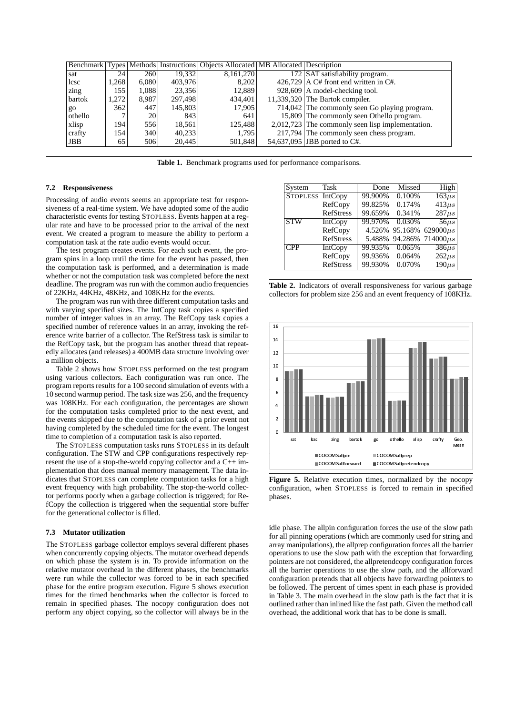|         |       |       |         | Benchmark Types Methods Instructions Objects Allocated MB Allocated Description |                                                    |
|---------|-------|-------|---------|---------------------------------------------------------------------------------|----------------------------------------------------|
| sat     | 24    | 260   | 19.332  | 8,161,270                                                                       | 172 SAT satisfiability program.                    |
| lcsc    | .268  | 6.080 | 403,976 | 8.202                                                                           | $426,729$ A C# front end written in C#.            |
| zing    | 155   | 1.088 | 23.356  | 12,889                                                                          | $928,609$ A model-checking tool.                   |
| bartok  | 1.272 | 8.987 | 297.498 | 434.401                                                                         | $11,339,320$ The Bartok compiler.                  |
| $g_{0}$ | 362   | 447   | 145,803 | 17.905                                                                          | 714,042 The commonly seen Go playing program.      |
| othello |       | 20    | 843     | 641                                                                             | 15,809 The commonly seen Othello program.          |
| xlisp   | 194   | 556   | 18.561  | 125.488                                                                         | $2,012,723$ The commonly seen lisp implementation. |
| crafty  | 154   | 340   | 40.233  | 1.795                                                                           | 217,794 The commonly seen chess program.           |
| JBB     | 65    | 506   | 20,445  | 501,848                                                                         | 54,637,095 JBB ported to C#.                       |

**Table 1.** Benchmark programs used for performance comparisons.

## **7.2 Responsiveness**

Processing of audio events seems an appropriate test for responsiveness of a real-time system. We have adopted some of the audio characteristic events for testing STOPLESS. Events happen at a regular rate and have to be processed prior to the arrival of the next event. We created a program to measure the ability to perform a computation task at the rate audio events would occur.

The test program creates events. For each such event, the program spins in a loop until the time for the event has passed, then the computation task is performed, and a determination is made whether or not the computation task was completed before the next deadline. The program was run with the common audio frequencies of 22KHz, 44KHz, 48KHz, and 108KHz for the events.

The program was run with three different computation tasks and with varying specified sizes. The IntCopy task copies a specified number of integer values in an array. The RefCopy task copies a specified number of reference values in an array, invoking the reference write barrier of a collector. The RefStress task is similar to the RefCopy task, but the program has another thread that repeatedly allocates (and releases) a 400MB data structure involving over a million objects.

Table 2 shows how STOPLESS performed on the test program using various collectors. Each configuration was run once. The program reports results for a 100 second simulation of events with a 10 second warmup period. The task size was 256, and the frequency was 108KHz. For each configuration, the percentages are shown for the computation tasks completed prior to the next event, and the events skipped due to the computation task of a prior event not having completed by the scheduled time for the event. The longest time to completion of a computation task is also reported.

The STOPLESS computation tasks runs STOPLESS in its default configuration. The STW and CPP configurations respectively represent the use of a stop-the-world copying collector and a C++ implementation that does manual memory management. The data indicates that STOPLESS can complete computation tasks for a high event frequency with high probability. The stop-the-world collector performs poorly when a garbage collection is triggered; for RefCopy the collection is triggered when the sequential store buffer for the generational collector is filled.

#### **7.3 Mutator utilization**

The STOPLESS garbage collector employs several different phases when concurrently copying objects. The mutator overhead depends on which phase the system is in. To provide information on the relative mutator overhead in the different phases, the benchmarks were run while the collector was forced to be in each specified phase for the entire program execution. Figure 5 shows execution times for the timed benchmarks when the collector is forced to remain in specified phases. The nocopy configuration does not perform any object copying, so the collector will always be in the

| System           | Task             | Done    | Missed | High                          |
|------------------|------------------|---------|--------|-------------------------------|
| STOPLESS IntCopy |                  | 99.900% | 0.100% | $163\mu s$                    |
|                  | RefCopy          | 99.825% | 0.174% | $413\mu s$                    |
|                  | <b>RefStress</b> | 99.659% | 0.341% | $287\mu s$                    |
| <b>STW</b>       | <b>IntCopy</b>   | 99.970% | 0.030% | $56\mu s$                     |
|                  | RefCopy          | 4.526%  |        | $95.168\%$ 629000 $\mu s$     |
|                  | <b>RefStress</b> |         |        | 5.488% 94.286% 714000 $\mu s$ |
| <b>CPP</b>       | <b>IntCopy</b>   | 99.935% | 0.065% | $386\mu s$                    |
|                  | RefCopy          | 99.936% | 0.064% | $262\mu s$                    |
|                  | <b>RefStress</b> | 99.930% | 0.070% | $190\mu s$                    |

**Table 2.** Indicators of overall responsiveness for various garbage collectors for problem size 256 and an event frequency of 108KHz.



**Figure 5.** Relative execution times, normalized by the nocopy configuration, when STOPLESS is forced to remain in specified phases.

idle phase. The allpin configuration forces the use of the slow path for all pinning operations (which are commonly used for string and array manipulations), the allprep configuration forces all the barrier operations to use the slow path with the exception that forwarding pointers are not considered, the allpretendcopy configuration forces all the barrier operations to use the slow path, and the allforward configuration pretends that all objects have forwarding pointers to be followed. The percent of times spent in each phase is provided in Table 3. The main overhead in the slow path is the fact that it is outlined rather than inlined like the fast path. Given the method call overhead, the additional work that has to be done is small.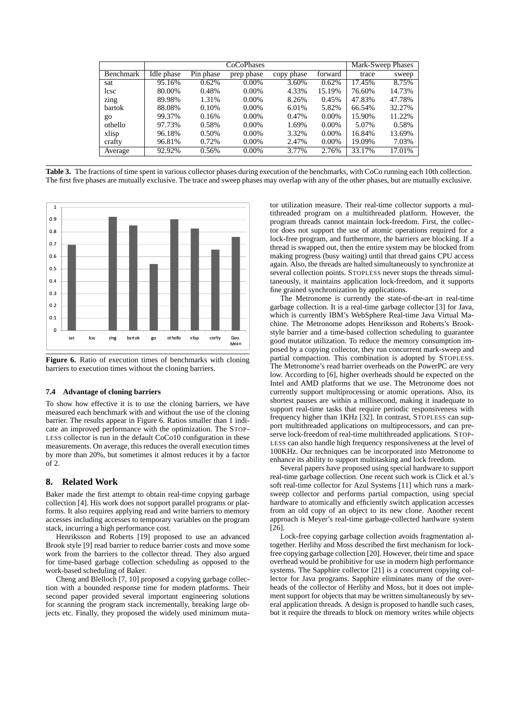|           |            | Mark-Sweep Phases |            |            |          |        |        |
|-----------|------------|-------------------|------------|------------|----------|--------|--------|
| Benchmark | Idle phase | Pin phase         | prep phase | copy phase | forward  | trace  | sweep  |
| sat       | 95.16%     | 0.62%             | $0.00\%$   | 3.60%      | 0.62%    | 17.45% | 8.75%  |
| lcsc      | 80.00%     | 0.48%             | $0.00\%$   | 4.33%      | 15.19%   | 76.60% | 14.73% |
| zing      | 89.98%     | 1.31%             | $0.00\%$   | 8.26%      | 0.45%    | 47.83% | 47.78% |
| bartok    | 88.08%     | 0.10%             | $0.00\%$   | 6.01%      | 5.82%    | 66.54% | 32.27% |
| go        | 99.37%     | 0.16%             | $0.00\%$   | 0.47%      | $0.00\%$ | 15.90% | 11.22% |
| othello   | 97.73%     | 0.58%             | $0.00\%$   | 1.69%      | 0.00%    | 5.07%  | 0.58%  |
| xlisp     | 96.18%     | 0.50%             | $0.00\%$   | 3.32%      | $0.00\%$ | 16.84% | 13.69% |
| crafty    | 96.81%     | 0.72%             | $0.00\%$   | 2.47%      | $0.00\%$ | 19.09% | 7.03%  |
| Average   | 92.92%     | 0.56%             | 0.00%      | 3.77%      | 2.76%    | 33.17% | 17.01% |

**Table 3.** The fractions of time spent in various collector phases during execution of the benchmarks, with CoCo running each 10th collection. The first five phases are mutually exclusive. The trace and sweep phases may overlap with any of the other phases, but are mutually exclusive.



**Figure 6.** Ratio of execution times of benchmarks with cloning barriers to execution times without the cloning barriers.

## **7.4 Advantage of cloning barriers**

To show how effective it is to use the cloning barriers, we have measured each benchmark with and without the use of the cloning barrier. The results appear in Figure 6. Ratios smaller than 1 indicate an improved performance with the optimization. The STOP-LESS collector is run in the default CoCo10 configuration in these measurements. On average, this reduces the overall execution times by more than 20%, but sometimes it almost reduces it by a factor of 2.

# **8. Related Work**

Baker made the first attempt to obtain real-time copying garbage collection [4]. His work does not support parallel programs or platforms. It also requires applying read and write barriers to memory accesses including accesses to temporary variables on the program stack, incurring a high performance cost.

Henriksson and Roberts [19] proposed to use an advanced Brook style [9] read barrier to reduce barrier costs and move some work from the barriers to the collector thread. They also argued for time-based garbage collection scheduling as opposed to the work-based scheduling of Baker.

Cheng and Blelloch [7, 10] proposed a copying garbage collection with a bounded response time for modern platforms. Their second paper provided several important engineering solutions for scanning the program stack incrementally, breaking large objects etc. Finally, they proposed the widely used minimum mutator utilization measure. Their real-time collector supports a multithreaded program on a multithreaded platform. However, the program threads cannot maintain lock-freedom. First, the collector does not support the use of atomic operations required for a lock-free program, and furthermore, the barriers are blocking. If a thread is swapped out, then the entire system may be blocked from making progress (busy waiting) until that thread gains CPU access again. Also, the threads are halted simultaneously to synchronize at several collection points. STOPLESS never stops the threads simultaneously, it maintains application lock-freedom, and it supports fine grained synchronization by applications.

The Metronome is currently the state-of-the-art in real-time garbage collection. It is a real-time garbage collector [3] for Java, which is currently IBM's WebSphere Real-time Java Virtual Machine. The Metronome adopts Henriksson and Roberts's Brookstyle barrier and a time-based collection scheduling to guarantee good mutator utilization. To reduce the memory consumption imposed by a copying collector, they run concurrent mark-sweep and partial compaction. This combination is adopted by STOPLESS. The Metronome's read barrier overheads on the PowerPC are very low. According to [6], higher overheads should be expected on the Intel and AMD platforms that we use. The Metronome does not currently support multiprocessing or atomic operations. Also, its shortest pauses are within a millisecond, making it inadequate to support real-time tasks that require periodic responsiveness with frequency higher than 1KHz [32]. In contrast, STOPLESS can support multithreaded applications on multiprocessors, and can preserve lock-freedom of real-time multithreaded applications. STOP-LESS can also handle high frequency responsiveness at the level of 100KHz. Our techniques can be incorporated into Metronome to enhance its ability to support multitasking and lock freedom.

Several papers have proposed using special hardware to support real-time garbage collection. One recent such work is Click et al.'s soft real-time collector for Azul Systems [11] which runs a marksweep collector and performs partial compaction, using special hardware to atomically and efficiently switch application accesses from an old copy of an object to its new clone. Another recent approach is Meyer's real-time garbage-collected hardware system [26].

Lock-free copying garbage collection avoids fragmentation altogether. Herlihy and Moss described the first mechanism for lockfree copying garbage collection [20]. However, their time and space overhead would be prohibitive for use in modern high performance systems. The Sapphire collector [21] is a concurrent copying collector for Java programs. Sapphire eliminates many of the overheads of the collector of Herlihy and Moss, but it does not implement support for objects that may be written simultaneously by several application threads. A design is proposed to handle such cases, but it require the threads to block on memory writes while objects